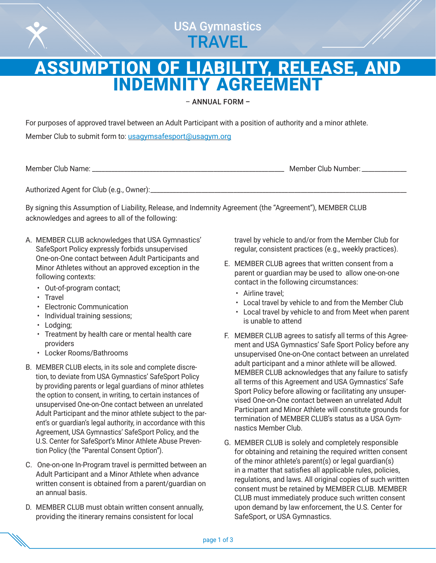

# ASSUMPTION OF LIABILITY, RELEASE, AND INDEMNITY AGREEMENT

– ANNUAL FORM –

For purposes of approved travel between an Adult Participant with a position of authority and a minor athlete.

Member Club to submit form to: [usagymsafesport@usagym.org](mailto:usagymsafesport%40usagym.org?subject=)

Member Club Name: \_\_\_\_\_\_\_\_\_\_\_\_\_\_\_\_\_\_\_\_\_\_\_\_\_\_\_\_\_\_\_\_\_\_\_\_\_\_\_\_\_\_\_\_\_\_\_\_\_\_\_\_\_\_\_\_\_\_\_\_ Member Club Number: \_\_\_\_\_\_\_\_\_\_\_\_\_\_

Authorized Agent for Club (e.g., Owner):\_\_\_\_\_\_\_\_\_\_\_\_\_\_\_\_\_\_\_\_\_\_\_\_\_\_\_\_\_\_\_\_\_\_\_\_\_\_\_\_\_\_\_\_\_\_\_\_\_\_\_\_\_\_\_\_\_\_\_\_\_\_\_\_\_\_\_\_\_\_\_\_\_\_\_\_\_\_\_\_

By signing this Assumption of Liability, Release, and Indemnity Agreement (the "Agreement"), MEMBER CLUB acknowledges and agrees to all of the following:

- A. MEMBER CLUB acknowledges that USA Gymnastics' SafeSport Policy expressly forbids unsupervised One-on-One contact between Adult Participants and Minor Athletes without an approved exception in the following contexts:
	- Out-of-program contact;
	- Travel
	- Electronic Communication
	- Individual training sessions;
	- Lodging;
	- Treatment by health care or mental health care providers
	- Locker Rooms/Bathrooms
- B. MEMBER CLUB elects, in its sole and complete discretion, to deviate from USA Gymnastics' SafeSport Policy by providing parents or legal guardians of minor athletes the option to consent, in writing, to certain instances of unsupervised One-on-One contact between an unrelated Adult Participant and the minor athlete subject to the parent's or guardian's legal authority, in accordance with this Agreement, USA Gymnastics' SafeSport Policy, and the U.S. Center for SafeSport's Minor Athlete Abuse Prevention Policy (the "Parental Consent Option").
- C. One-on-one In-Program travel is permitted between an Adult Participant and a Minor Athlete when advance written consent is obtained from a parent/guardian on an annual basis.
- D. MEMBER CLUB must obtain written consent annually, providing the itinerary remains consistent for local

travel by vehicle to and/or from the Member Club for regular, consistent practices (e.g., weekly practices).

- E. MEMBER CLUB agrees that written consent from a parent or guardian may be used to allow one-on-one contact in the following circumstances:
	- Airline travel;
	- Local travel by vehicle to and from the Member Club
	- Local travel by vehicle to and from Meet when parent is unable to attend
- F. MEMBER CLUB agrees to satisfy all terms of this Agreement and USA Gymnastics' Safe Sport Policy before any unsupervised One-on-One contact between an unrelated adult participant and a minor athlete will be allowed. MEMBER CLUB acknowledges that any failure to satisfy all terms of this Agreement and USA Gymnastics' Safe Sport Policy before allowing or facilitating any unsupervised One-on-One contact between an unrelated Adult Participant and Minor Athlete will constitute grounds for termination of MEMBER CLUB's status as a USA Gymnastics Member Club.
- G. MEMBER CLUB is solely and completely responsible for obtaining and retaining the required written consent of the minor athlete's parent(s) or legal guardian(s) in a matter that satisfies all applicable rules, policies, regulations, and laws. All original copies of such written consent must be retained by MEMBER CLUB. MEMBER CLUB must immediately produce such written consent upon demand by law enforcement, the U.S. Center for SafeSport, or USA Gymnastics.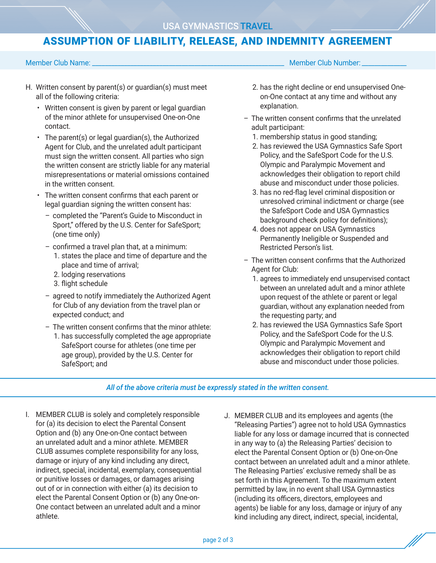## ASSUMPTION OF LIABILITY, RELEASE, AND INDEMNITY AGREEMENT

### Member Club Name: \_\_\_\_\_\_\_\_\_\_\_\_\_\_\_\_\_\_\_\_\_\_\_\_\_\_\_\_\_\_\_\_\_\_\_\_\_\_\_\_\_\_\_\_\_\_\_\_\_\_\_\_\_\_\_\_\_\_\_\_ Member Club Number: \_\_\_\_\_\_\_\_\_\_\_\_\_\_

- H. Written consent by parent(s) or guardian(s) must meet all of the following criteria:
	- Written consent is given by parent or legal guardian of the minor athlete for unsupervised One-on-One contact.
	- The parent(s) or legal guardian(s), the Authorized Agent for Club, and the unrelated adult participant must sign the written consent. All parties who sign the written consent are strictly liable for any material misrepresentations or material omissions contained in the written consent.
	- The written consent confirms that each parent or legal guardian signing the written consent has:
		- completed the "Parent's Guide to Misconduct in Sport," offered by the U.S. Center for SafeSport; (one time only)
		- confirmed a travel plan that, at a minimum:
			- 1. states the place and time of departure and the place and time of arrival;
			- 2. lodging reservations
			- 3. flight schedule
		- agreed to notify immediately the Authorized Agent for Club of any deviation from the travel plan or expected conduct; and
		- The written consent confirms that the minor athlete:
			- 1. has successfully completed the age appropriate SafeSport course for athletes (one time per age group), provided by the U.S. Center for SafeSport; and
- 
- 2. has the right decline or end unsupervised Oneon-One contact at any time and without any explanation.
- The written consent confirms that the unrelated adult participant:
	- 1. membership status in good standing;
	- 2. has reviewed the USA Gymnastics Safe Sport Policy, and the SafeSport Code for the U.S. Olympic and Paralympic Movement and acknowledges their obligation to report child abuse and misconduct under those policies.
	- 3. has no red-flag level criminal disposition or unresolved criminal indictment or charge (see the SafeSport Code and USA Gymnastics background check policy for definitions);
	- 4. does not appear on USA Gymnastics Permanently Ineligible or Suspended and Restricted Person's list.
- The written consent confirms that the Authorized Agent for Club:
	- 1. agrees to immediately end unsupervised contact between an unrelated adult and a minor athlete upon request of the athlete or parent or legal guardian, without any explanation needed from the requesting party; and
	- 2. has reviewed the USA Gymnastics Safe Sport Policy, and the SafeSport Code for the U.S. Olympic and Paralympic Movement and acknowledges their obligation to report child abuse and misconduct under those policies.

*All of the above criteria must be expressly stated in the written consent.*

- I. MEMBER CLUB is solely and completely responsible for (a) its decision to elect the Parental Consent Option and (b) any One-on-One contact between an unrelated adult and a minor athlete. MEMBER CLUB assumes complete responsibility for any loss, damage or injury of any kind including any direct, indirect, special, incidental, exemplary, consequential or punitive losses or damages, or damages arising out of or in connection with either (a) its decision to elect the Parental Consent Option or (b) any One-on-One contact between an unrelated adult and a minor athlete.
- J. MEMBER CLUB and its employees and agents (the "Releasing Parties") agree not to hold USA Gymnastics liable for any loss or damage incurred that is connected in any way to (a) the Releasing Parties' decision to elect the Parental Consent Option or (b) One-on-One contact between an unrelated adult and a minor athlete. The Releasing Parties' exclusive remedy shall be as set forth in this Agreement. To the maximum extent permitted by law, in no event shall USA Gymnastics (including its officers, directors, employees and agents) be liable for any loss, damage or injury of any kind including any direct, indirect, special, incidental,